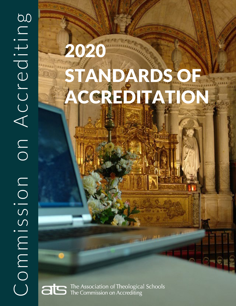# 2020 STANDARDS OF ACCREDITATION

The Association of Theological Schools ats The Commission on Accrediting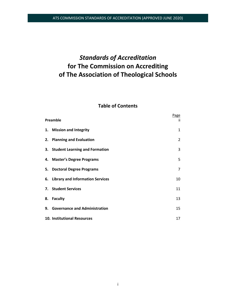# *Standards of Accreditation* **for The Commission on Accrediting of The Association of Theological Schools**

# **Table of Contents**

| Preamble |                                     | Page<br>Ϊİ     |
|----------|-------------------------------------|----------------|
|          | 1. Mission and Integrity            | $\mathbf{1}$   |
|          | 2. Planning and Evaluation          | 2              |
|          | 3. Student Learning and Formation   | 3              |
|          | 4. Master's Degree Programs         | 5              |
|          | 5. Doctoral Degree Programs         | $\overline{7}$ |
|          | 6. Library and Information Services | 10             |
|          | 7. Student Services                 | 11             |
|          | 8. Faculty                          | 13             |
|          | 9. Governance and Administration    | 15             |
|          | 10. Institutional Resources         | 17             |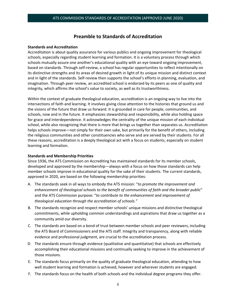### **Preamble to Standards of Accreditation**

#### **Standards and Accreditation**

Accreditation is about quality assurance for various publics and ongoing improvement for theological schools, especially regarding student learning and formation. It is a voluntary process through which schools mutually assure one another's educational quality with an eye toward ongoing improvement, based on standards. Through self-review, a school has regular opportunities to reflect intentionally on its distinctive strengths and its areas of desired growth in light of its unique mission and distinct context and in light of the standards. Self-review then supports the school's efforts in planning, evaluation, and imagination. Through peer review, an accredited school is endorsed by its peers as one of quality and integrity, which affirms the school's value to society, as well as its trustworthiness.

Within the context of graduate theological education, accreditation is an ongoing way to live into the intersections of faith and learning. It involves giving close attention to the histories that ground us and the visions of the future that draw us forward. It is grounded in care for people, communities, and schools, now and in the future. It emphasizes stewardship and responsibility, while also holding space for grace and interdependence. It acknowledges the centrality of the unique mission of each individual school, while also recognizing that there is more that brings us together than separates us. Accreditation helps schools improve—not simply for their own sake, but primarily for the benefit of others, including the religious communities and other constituencies who serve and are served by their students. For all these reasons, accreditation is a deeply theological act with a focus on students, especially on student learning and formation.

#### **Standards and Membership Priorities**

Since 1936, the ATS Commission on Accrediting has maintained standards for its member schools, developed and approved by the membership—always with a focus on how those standards can help member schools improve in educational quality for the sake of their students. The current standards, approved in 2020, are based on the following membership priorities:

- A. The standards seek in all ways to embody the ATS mission: "*to promote the improvement and enhancement of theological schools to the benefit of communities of faith and the broader public*" and the ATS Commission purpose: "*to contribute to the enhancement and improvement of theological education through the accreditation of schools."*
- B. The standards recognize and respect member schools' unique missions and distinctive theological commitments, while upholding common understandings and aspirations that draw us together as a community amid our diversity.
- C. The standards are based on a bond of trust between member schools and peer reviewers, including the ATS Board of Commissioners and the ATS staff. Integrity and transparency, along with reliable evidence and professional judgment, are crucial to the accreditation process.
- D. The standards ensure through evidence (qualitative and quantitative) that schools are effectively accomplishing their educational missions and continually seeking to improve in the achievement of those missions.
- E. The standards focus primarily on the quality of graduate theological education, attending to how well student learning and formation is achieved, however and wherever students are engaged.
- F. The standards focus on the health of both schools and the individual degree programs they offer.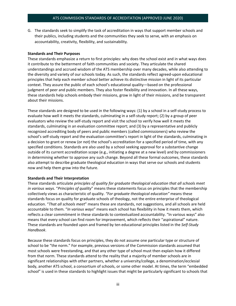G. The standards seek to simplify the task of accreditation in ways that support member schools and their publics, including students and the communities they seek to serve, with an emphasis on accountability, creativity, flexibility, and sustainability.

#### **Standards and Their Purposes**

These standards emphasize a return to first principles: why does the school exist and in what ways does it contribute to the betterment of faith communities and society. They articulate the shared understandings and accrued wisdom of the ATS membership over many decades, while also attending to the diversity and variety of our schools today. As such, the standards reflect agreed-upon educational principles that help each member school better achieve its distinctive mission in light of its particular context. They assure the public of each school's educational quality—based on the professional judgment of peer and public members. They also foster flexibility and innovation. In all these ways, these standards help schools embody their missions, grow in light of their missions, and be transparent about their missions.

These standards are designed to be used in the following ways: (1) by a school in a self-study process to evaluate how well it meets the standards, culminating in a self-study report; (2) by a group of peer evaluators who review the self-study report and visit the school to verify how well it meets the standards, culminating in an evaluation committee report; and (3) by a representative and publicly recognized accrediting body of peers and public members (called commissioners) who review the school's self-study report and the evaluation committee's report in light of the standards, culminating in a decision to grant or renew (or not) the school's accreditation for a specified period of time, with any specified conditions. Standards are also used by a school seeking approval for a substantive change outside of its current accreditation scope (e.g., initiating a degree at a new level) and by commissioners in determining whether to approve any such change. Beyond all these formal outcomes, these standards also attempt to describe graduate theological education in ways that serve our schools and students now and help them grow into the future.

#### **Standards and Their Interpretation**

These standards articulate *principles of quality for graduate theological education that all schools meet in various ways*. "*Principles of quality*" means these statements focus on principles that the membership collectively views as characteristic of quality. *"For graduate theological education"* means these standards focus on quality for graduate schools of theology, not the entire enterprise of theological education. "*That all schools meet*" means these are standards, not suggestions, and all schools are held accountable to them. "*In various ways*" means each school has flexibility in how it meets them, which reflects a clear commitment in these standards to contextualized accountability. "In various ways" also means that every school can find room for improvement, which reflects their "aspirational" nature. These standards are founded upon and framed by ten educational principles listed in the *Self-Study Handbook*.

Because these standards focus on principles, they do not assume one particular type or structure of school to be "the norm." For example, previous versions of the Commission standards assumed that most schools were freestanding, and that any other type of school must then explain how it differed from that norm. These standards attend to the reality that a majority of member schools are in significant relationships with other partners, whether a university/college, a denomination/ecclesial body, another ATS school, a consortium of schools, or some other model. At times, the term "embedded school" is used in these standards to highlight issues that might be particularly significant to schools that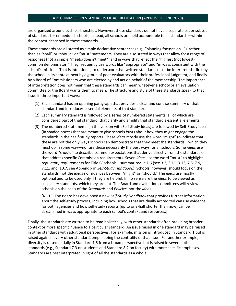are organized around such partnerships. However, these standards do not have a separate set or subset of standards for embedded schools; instead, all schools are held accountable to all standards—within the context described in these standards.

These standards are all stated as simple declarative sentences (e.g., "planning focuses on…"), rather than as "shall" or "should" or "must" statements. They are also stated in ways that allow for a range of responses (not a simple "meets/doesn't meet") and in ways that reflect the "highest (not lowest) common denominator." They frequently use words like "appropriate" and "in ways consistent with the school's mission." That is intentional, to underscore that written standards must be interpreted—first by the school in its context, next by a group of peer evaluators with their professional judgment, and finally by a Board of Commissioners who are elected by and act on behalf of the membership. The importance of interpretation does not mean that these standards can mean whatever a school or an evaluation committee or the Board wants them to mean. The structure and style of these standards speak to that issue in three important ways:

- (1) Each standard has an opening paragraph that provides a clear and concise summary of that standard and introduces essential elements of that standard.
- (2) Each summary standard is followed by a series of numbered statements, all of which are considered part of that standard, that clarify and amplify that standard's essential elements.
- (3) The numbered statements [in the version with Self-Study Ideas] are followed by Self-Study Ideas (in shaded boxes) that are meant to give schools *ideas* about how they might engage the standards in their self-study reports. These *ideas* mostly use the word "might" to indicate that these are not the only ways schools can demonstrate that they meet the standards—which they must do in some way—nor are these necessarily the best ways for all schools. Some *ideas* use the word "should" to describe common expectations that derive directly from the standards or that address specific Commission requirements. Seven *ideas* use the word "must" to highlight regulatory requirements for Title IV schools—summarized in 1.6 (see 3.2, 3.11, 3.12, 7.5, 7.9, 7.11, and 10.7; see Appendix in *Self-Study Handbook*). Schools, however, should focus on the standards, not the *ideas* nor nuances between "might" or "should." The *ideas* are mostly optional and to be used only if they are helpful. In no sense are the *ideas* to be viewed as subsidiary standards, which they are not. The Board and evaluation committees will review schools on the basis of the *Standards* and *Policies*, not the *ideas*.

[NOTE: The Board has developed a new *Self-Study Handbook* that provides further information about the self-study process, including how schools that are dually accredited can use evidence for both agencies and how self-study reports (up to one-half shorter than now) can be streamlined in ways appropriate to each school's context and resources.]

Finally, the standards are written to be read holistically, with other standards often providing broader context or more specific nuance to a particular standard. An issue raised in one standard may be raised in other standards with additional perspectives. For example, mission is introduced in Standard 1 but is raised again in every other standard, emphasizing the centrality of that issue. For another example, diversity is raised initially in Standard 1.5 from a broad perspective but is raised in several other standards (e.g., Standard 7.3 on students and Standard 8.2 on faculty) with more specific emphases. Standards are best interpreted in light of all the standards as a whole.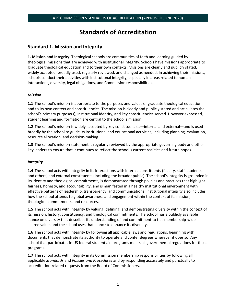# **Standards of Accreditation**

# **Standard 1. Mission and Integrity**

**1. Mission and Integrity**: Theological schools are communities of faith and learning guided by theological missions that are achieved with institutional integrity. Schools have missions appropriate to graduate theological education and to their own contexts. Missions are clearly and publicly stated, widely accepted, broadly used, regularly reviewed, and changed as needed. In achieving their missions, schools conduct their activities with institutional integrity, especially in areas related to human interactions, diversity, legal obligations, and Commission responsibilities.

#### *Mission*

**1.1** The school's mission is appropriate to the purposes and values of graduate theological education and to its own context and constituencies. The mission is clearly and publicly stated and articulates the school's primary purpose(s), institutional identity, and key constituencies served. However expressed, student learning and formation are central to the school's mission.

**1.2** The school's mission is widely accepted by key constituencies—internal and external—and is used broadly by the school to guide its institutional and educational activities, including planning, evaluation, resource allocation, and decision-making.

**1.3** The school's mission statement is regularly reviewed by the appropriate governing body and other key leaders to ensure that it continues to reflect the school's current realities and future hopes.

#### *Integrity*

**1.4** The school acts with integrity in its interactions with internal constituents (faculty, staff, students, and others) and external constituents (including the broader public). The school's integrity is grounded in its identity and theological commitments; is demonstrated through policies and practices that highlight fairness, honesty, and accountability; and is manifested in a healthy institutional environment with effective patterns of leadership, transparency, and communications. Institutional integrity also includes how the school attends to global awareness and engagement within the context of its mission, theological commitments, and resources.

**1.5** The school acts with integrity by valuing, defining, and demonstrating diversity within the context of its mission, history, constituency, and theological commitments. The school has a publicly available stance on diversity that describes its understanding of and commitment to this membership-wide shared value, and the school uses that stance to enhance its diversity.

**1.6** The school acts with integrity by following all applicable laws and regulations, beginning with documents that demonstrate its authority to operate and confer degrees wherever it does so. Any school that participates in US federal student aid programs meets all governmental regulations for those programs.

**1.7** The school acts with integrity in its Commission membership responsibilities by following all applicable *Standards* and *Policies and Procedures* and by responding accurately and punctually to accreditation-related requests from the Board of Commissioners.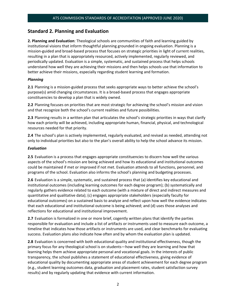# **Standard 2. Planning and Evaluation**

**2. Planning and Evaluation**: Theological schools are communities of faith and learning guided by institutional visions that inform thoughtful planning grounded in ongoing evaluation. Planning is a mission-guided and broad-based process that focuses on strategic priorities in light of current realities, resulting in a plan that is appropriately resourced, actively implemented, regularly reviewed, and periodically updated. Evaluation is a simple, systematic, and sustained process that helps schools understand how well they are achieving their missions and then helps schools use that information to better achieve their missions, especially regarding student learning and formation.

#### *Planning*

**2.1** Planning is a mission-guided process that seeks appropriate ways to better achieve the school's purpose(s) amid changing circumstances. It is a broad-based process that engages appropriate constituencies to develop a plan that is widely owned.

**2.2** Planning focuses on priorities that are most strategic for achieving the school's mission and vision and that recognize both the school's current realities and future possibilities.

**2.3** Planning results in a written plan that articulates the school's strategic priorities in ways that clarify how each priority will be achieved, including appropriate human, financial, physical, and technological resources needed for that priority.

**2.4** The school's plan is actively implemented, regularly evaluated, and revised as needed, attending not only to individual priorities but also to the plan's overall ability to help the school advance its mission.

#### *Evaluation*

**2.5** Evaluation is a process that engages appropriate constituencies to discern how well the various aspects of the school's mission are being achieved and how its educational and institutional outcomes could be maintained if met or improved if not met. Evaluation attends to all functions, personnel, and programs of the school. Evaluation also informs the school's planning and budgeting processes.

**2.6** Evaluation is a simple, systematic, and sustained process that (a) identifies key educational and institutional outcomes (including learning outcomes for each degree program); (b) systematically and regularly gathers evidence related to each outcome (with a mixture of direct and indirect measures and quantitative and qualitative data); (c) engages appropriate stakeholders (especially faculty for educational outcomes) on a sustained basis to analyze and reflect upon how well the evidence indicates that each educational and institutional outcome is being achieved; and (d) uses those analyses and reflections for educational and institutional improvement.

**2.7** Evaluation is formalized in one or more brief, cogently written plans that identify the parties responsible for evaluation and include a list of artifacts or instruments used to measure each outcome, a timeline that indicates how those artifacts or instruments are used, and clear benchmarks for evaluating success. Evaluation plans also indicate how often and by whom the evaluation plan is updated.

**2.8** Evaluation is concerned with both educational quality and institutional effectiveness, though the primary focus for any theological school is on students—how well they are learning and how that learning helps them achieve appropriate personal and vocational goals. In the interests of public transparency, the school publishes a statement of educational effectiveness, giving evidence of educational quality by documenting appropriate areas of student achievement for each degree program (e.g., student learning outcomes data, graduation and placement rates, student satisfaction survey results) and by regularly updating that evidence with current information.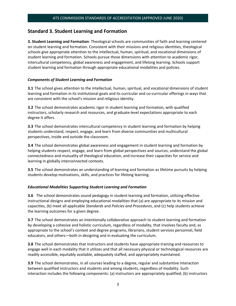# **Standard 3. Student Learning and Formation**

**3. Student Learning and Formation**: Theological schools are communities of faith and learning centered on student learning and formation. Consistent with their missions and religious identities, theological schools give appropriate attention to the intellectual, human, spiritual, and vocational dimensions of student learning and formation. Schools pursue those dimensions with attention to academic rigor, intercultural competency, global awareness and engagement, and lifelong learning. Schools support student learning and formation through appropriate educational modalities and policies.

#### *Components of Student Learning and Formation*

**3.1** The school gives attention to the intellectual, human, spiritual, and vocational dimensions of student learning and formation in its institutional goals and its curricular and co-curricular offerings in ways that are consistent with the school's mission and religious identity.

**3.2** The school demonstrates academic rigor in student learning and formation, with qualified instructors, scholarly research and resources, and graduate-level expectations appropriate to each degree it offers.

**3.3** The school demonstrates intercultural competency in student learning and formation by helping students understand, respect, engage, and learn from diverse communities and multicultural perspectives, inside and outside the classroom.

**3.4** The school demonstrates global awareness and engagement in student learning and formation by helping students respect, engage, and learn from global perspectives and sources, understand the global connectedness and mutuality of theological education, and increase their capacities for service and learning in globally interconnected contexts.

**3.5** The school demonstrates an understanding of learning and formation as lifetime pursuits by helping students develop motivations, skills, and practices for lifelong learning.

#### *Educational Modalities Supporting Student Learning and Formation*

**3.6** The school demonstrates sound pedagogy in student learning and formation, utilizing effective instructional designs and employing educational modalities that (a) are appropriate to its mission and capacities, (b) meet all applicable *Standards* and *Policies and Procedures*, and (c) help students achieve the learning outcomes for a given degree.

**3.7** The school demonstrates an intentionally collaborative approach to student learning and formation by developing a cohesive and holistic curriculum, regardless of modality, that involves faculty and, as appropriate to the school's context and degree programs, librarians, student services personnel, field educators, and others—both in designing and in evaluating the curriculum.

**3.8** The school demonstrates that instructors and students have appropriate training and resources to engage well in each modality that it utilizes and that all necessary physical or technological resources are readily accessible, equitably available, adequately staffed, and appropriately maintained.

**3.9** The school demonstrates, in all courses leading to a degree, regular and substantive interaction between qualified instructors and students and among students, regardless of modality. Such interaction includes the following components: (a) instructors are appropriately qualified; (b) instructors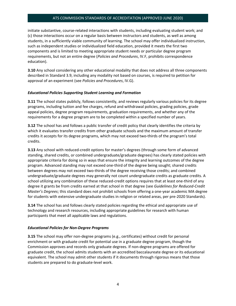initiate substantive, course-related interactions with students, including evaluating student work; and (c) those interactions occur on a regular basis between instructors and students, as well as among students, in a sufficiently viable community of learning. The school may offer individualized instruction, such as independent studies or individualized field education, provided it meets the first two components and is limited to meeting appropriate student needs or particular degree program requirements, but not an entire degree (*Policies and Procedures*, IV.F, prohibits correspondence education).

**3.10** Any school considering any other educational modality that does not address all three components described in Standard 3.9, including any modality not based on courses, is required to petition for approval of an experiment (see *Policies and Procedures*, IV.G).

#### *Educational Policies Supporting Student Learning and Formation*

**3.11** The school states publicly, follows consistently, and reviews regularly various policies for its degree programs, including tuition and fee charges, refund and withdrawal policies, grading policies, grade appeal policies, degree program requirements, graduation requirements, and whether any of the requirements for a degree program are to be completed within a specified number of years.

**3.12** The school has and follows a public transfer of credit policy that clearly identifies the criteria by which it evaluates transfer credits from other graduate schools and the maximum amount of transfer credits it accepts for its degree programs, which may not exceed two-thirds of the program's total credits.

**3.13** Any school with reduced-credit options for master's degrees (through some form of advanced standing, shared credits, or combined undergraduate/graduate degrees) has clearly stated policies with appropriate criteria for doing so in ways that ensure the integrity and learning outcomes of the degree program. Advanced standing may not exceed one-third of the degree being sought; shared credits between degrees may not exceed two-thirds of the degree receiving those credits; and combined undergraduate/graduate degrees may generally not count undergraduate credits as graduate credits. A school utilizing any combination of these reduced-credit options requires that at least one-third of any degree it grants be from credits earned at that school in that degree (see *Guidelines for Reduced-Credit Master's Degrees*; this standard does not prohibit schools from offering a one-year academic MA degree for students with extensive undergraduate studies in religion or related areas, per pre-2020 Standards).

**3.14** The school has and follows clearly stated policies regarding the ethical and appropriate use of technology and research resources, including appropriate guidelines for research with human participants that meet all applicable laws and regulations.

#### *Educational Policies for Non-Degree Programs*

**3.15** The school may offer non-degree programs (e.g., certificates) without credit for personal enrichment or with graduate credit for potential use in a graduate degree program, though the Commission approves and records only graduate degrees. If non-degree programs are offered for graduate credit, the school admits students with an accredited baccalaureate degree or its educational equivalent. The school may admit other students if it documents through rigorous means that those students are prepared to do graduate-level work.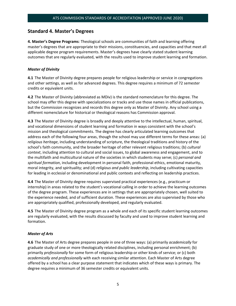## **Standard 4. Master's Degrees**

**4. Master's Degree Programs**: Theological schools are communities of faith and learning offering master's degrees that are appropriate to their missions, constituencies, and capacities and that meet all applicable degree program requirements. Master's degrees have clearly stated student learning outcomes that are regularly evaluated, with the results used to improve student learning and formation.

#### *Master of Divinity*

**4.1** The Master of Divinity degree prepares people for religious leadership or service in congregations and other settings, as well as for advanced degrees. This degree requires a minimum of 72 semester credits or equivalent units.

**4.2** The Master of Divinity (abbreviated as MDiv) is the standard nomenclature for this degree. The school may offer this degree with specializations or tracks and use those names in official publications, but the Commission recognizes and records this degree only as Master of Divinity. Any school using a different nomenclature for historical or theological reasons has Commission approval.

**4.3** The Master of Divinity degree is broadly and deeply attentive to the intellectual, human, spiritual, and vocational dimensions of student learning and formation in ways consistent with the school's mission and theological commitments. The degree has clearly articulated learning outcomes that address each of the following four areas, though the school may use different terms for these areas: (a) *religious heritage*, including understanding of scripture, the theological traditions and history of the school's faith community, and the broader heritage of other relevant religious traditions; (b) *cultural context*, including attention to cultural and social issues, to global awareness and engagement, and to the multifaith and multicultural nature of the societies in which students may serve; (c) *personal and spiritual formation*, including development in personal faith, professional ethics, emotional maturity, moral integrity, and spirituality; and (d) *religious and public leadership*, including cultivating capacities for leading in ecclesial or denominational and public contexts and reflecting on leadership practices.

**4.4** The Master of Divinity degree requires supervised practical experiences (e.g., practicum or internship) in areas related to the student's vocational calling in order to achieve the learning outcomes of the degree program. These experiences are in settings that are appropriately chosen, well suited to the experience needed, and of sufficient duration. These experiences are also supervised by those who are appropriately qualified, professionally developed, and regularly evaluated.

**4.5** The Master of Divinity degree program as a whole and each of its specific student learning outcomes are regularly evaluated, with the results discussed by faculty and used to improve student learning and formation.

#### *Master of Arts*

**4.6** The Master of Arts degree prepares people in one of three ways: (a) primarily *academically* for graduate study of one or more theologically related disciplines, including personal enrichment; (b) primarily *professionally* for some form of religious leadership or other kinds of service; or (c) both *academically and professionally* with each receiving similar attention. Each Master of Arts degree offered by a school has a clear purpose statement that indicates which of these ways is primary. The degree requires a minimum of 36 semester credits or equivalent units.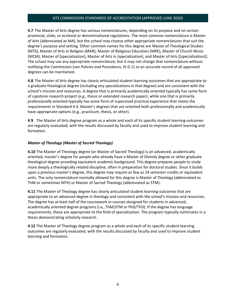**4.7** The Master of Arts degree has various nomenclatures, depending on its purpose and on certain provincial, state, or ecclesial or denominational regulations. The most common nomenclature is Master of Arts (abbreviated as MA), but the school may choose other appropriate nomenclatures that suit the degree's purpose and setting. Other common names for this degree are Master of Theological Studies (MTS), Master of Arts in Religion (MAR), Master of Religious Education (MRE), Master of Church Music (MCM), Master of [specialization], Master of Arts in [specialization], and Master of Arts [(specialization)]. The school may use any appropriate nomenclature, but it may not change that nomenclature without notifying the Commission (see *Policies and Procedures*, IV.D.1) so an accurate record of all approved degrees can be maintained.

**4.8** The Master of Arts degree has clearly articulated student learning outcomes that are appropriate to a graduate theological degree (including any specializations in that degree) and are consistent with the school's mission and resources. A degree that is primarily academically oriented typically has some form of capstone research project (e.g., thesis or extended research paper), while one that is primarily professionally oriented typically has some form of supervised practical experience that meets the requirements in Standard 4.4. Master's degrees that are oriented both professionally and academically have appropriate options (e.g., practicum, thesis, or other).

**4.9** The Master of Arts degree program as a whole and each of its specific student learning outcomes are regularly evaluated, with the results discussed by faculty and used to improve student learning and formation.

#### *Master of Theology (Master of Sacred Theology)*

**4.10** The Master of Theology degree (or Master of Sacred Theology) is an advanced, academically oriented, master's degree for people who already have a Master of Divinity degree or other graduate theological degree providing equivalent academic background. This degree prepares people to study more deeply a theologically related discipline, often in preparation for doctoral studies. Since it builds upon a previous master's degree, this degree may require as few as 24 semester credits or equivalent units. The only nomenclature normally allowed for this degree is Master of Theology (abbreviated as ThM or sometimes MTh) or Master of Sacred Theology (abbreviated as STM).

**4.11** The Master of Theology degree has clearly articulated student learning outcomes that are appropriate to an advanced degree in theology and consistent with the school's mission and resources. The degree has at least half of the coursework in courses designed for students in advanced, academically oriented degree programs (i.e., ThM/STM or PhD/ThD). If the degree has language requirements, these are appropriate to the field of specialization. The program typically culminates in a thesis demonstrating scholarly research.

**4.12** The Master of Theology degree program as a whole and each of its specific student learning outcomes are regularly evaluated, with the results discussed by faculty and used to improve student learning and formation.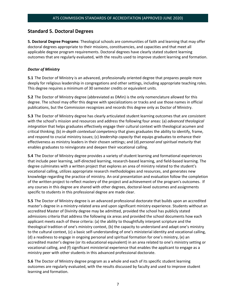# **Standard 5. Doctoral Degrees**

**5. Doctoral Degree Programs**: Theological schools are communities of faith and learning that may offer doctoral degrees appropriate to their missions, constituencies, and capacities and that meet all applicable degree program requirements. Doctoral degrees have clearly stated student learning outcomes that are regularly evaluated, with the results used to improve student learning and formation.

#### *Doctor of Ministry*

**5.1** The Doctor of Ministry is an advanced, professionally oriented degree that prepares people more deeply for religious leadership in congregations and other settings, including appropriate teaching roles. This degree requires a minimum of 30 semester credits or equivalent units.

**5.2** The Doctor of Ministry degree (abbreviated as DMin) is the only nomenclature allowed for this degree. The school may offer this degree with specializations or tracks and use those names in official publications, but the Commission recognizes and records this degree only as Doctor of Ministry.

**5.3** The Doctor of Ministry degree has clearly articulated student learning outcomes that are consistent with the school's mission and resources and address the following four areas: (a) *advanced theological integration* that helps graduates effectively engage their cultural context with theological acumen and critical thinking; (b) *in-depth contextual competency* that gives graduates the ability to identify, frame, and respond to crucial ministry issues; (c) *leadership capacity* that equips graduates to enhance their effectiveness as ministry leaders in their chosen settings; and (d) *personal and spiritual maturity* that enables graduates to reinvigorate and deepen their vocational calling.

**5.4** The Doctor of Ministry degree provides a variety of student learning and formational experiences that include peer learning, self-directed learning, research-based learning, and field-based learning. The degree culminates with a written project that explores an area of ministry related to the student's vocational calling, utilizes appropriate research methodologies and resources, and generates new knowledge regarding the practice of ministry. An oral presentation and evaluation follow the completion of the written project to reflect mastery of the project and achievement of the program's outcomes. If any courses in this degree are shared with other degrees, doctoral-level outcomes and assignments specific to students in this professional degree are made clear.

**5.5** The Doctor of Ministry degree is an advanced professional doctorate that builds upon an accredited master's degree in a ministry-related area and upon significant ministry experience. Students without an accredited Master of Divinity degree may be admitted, provided the school has publicly stated admissions criteria that address the following six areas and provided the school documents how each applicant meets each of these criteria: (a) the ability to thoughtfully interpret scripture and the theological tradition of one's ministry context, (b) the capacity to understand and adapt one's ministry to the cultural context, (c) a basic self-understanding of one's ministerial identity and vocational calling, (d) a readiness to engage in ongoing personal and spiritual formation for one's ministry, (e) an accredited master's degree (or its educational equivalent) in an area related to one's ministry setting or vocational calling, and (f) significant ministerial experience that enables the applicant to engage as a ministry peer with other students in this advanced professional doctorate.

**5.6** The Doctor of Ministry degree program as a whole and each of its specific student learning outcomes are regularly evaluated, with the results discussed by faculty and used to improve student learning and formation.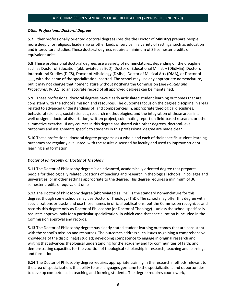#### *Other Professional Doctoral Degrees*

**5.7** Other professionally oriented doctoral degrees (besides the Doctor of Ministry) prepare people more deeply for religious leadership or other kinds of service in a variety of settings, such as education and intercultural studies. These doctoral degrees require a minimum of 36 semester credits or equivalent units.

**5.8** These professional doctoral degrees use a variety of nomenclatures, depending on the discipline, such as Doctor of Education (abbreviated as EdD), Doctor of Educational Ministry (DEdMin), Doctor of Intercultural Studies (DICS), Doctor of Missiology (DMiss), Doctor of Musical Arts (DMA), or Doctor of \_\_\_, with the name of the specialization inserted. The school may use any appropriate nomenclature, but it may not change that nomenclature without notifying the Commission (see *Policies and Procedures*, IV.D.1) so an accurate record of all approved degrees can be maintained.

**5.9** These professional doctoral degrees have clearly articulated student learning outcomes that are consistent with the school's mission and resources. The outcomes focus on the degree discipline in areas related to advanced understandings of, and competencies in, appropriate theological disciplines, behavioral sciences, social sciences, research methodologies, and the integration of those areas in a well-designed doctoral dissertation, written project, culminating report on field-based research, or other summative exercise. If any courses in this degree are shared with other degrees, doctoral-level outcomes and assignments specific to students in this professional degree are made clear.

**5.10** These professional doctoral degree programs as a whole and each of their specific student learning outcomes are regularly evaluated, with the results discussed by faculty and used to improve student learning and formation.

#### *Doctor of Philosophy or Doctor of Theology*

**5.11** The Doctor of Philosophy degree is an advanced, academically oriented degree that prepares people for theologically related vocations of teaching and research in theological schools, in colleges and universities, or in other settings appropriate to the degree. This degree requires a minimum of 36 semester credits or equivalent units.

**5.12** The Doctor of Philosophy degree (abbreviated as PhD) is the standard nomenclature for this degree, though some schools may use Doctor of Theology (ThD). The school may offer this degree with specializations or tracks and use those names in official publications, but the Commission recognizes and records this degree only as Doctor of Philosophy (or Doctor of Theology)—unless the school specifically requests approval only for a particular specialization, in which case that specialization is included in the Commission approval and records.

**5.13** The Doctor of Philosophy degree has clearly stated student learning outcomes that are consistent with the school's mission and resources. The outcomes address such issues as gaining a comprehensive knowledge of the discipline(s) studied; developing competence to engage in original research and writing that advances theological understanding for the academy and for communities of faith; and demonstrating capacities for the vocation of theological scholarship in research, teaching and learning, and formation.

**5.14** The Doctor of Philosophy degree requires appropriate training in the research methods relevant to the area of specialization, the ability to use languages germane to the specialization, and opportunities to develop competence in teaching and forming students. The degree requires coursework,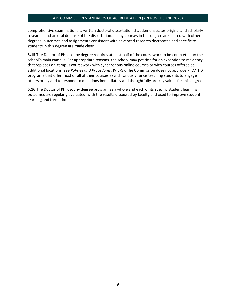comprehensive examinations, a written doctoral dissertation that demonstrates original and scholarly research, and an oral defense of the dissertation. If any courses in this degree are shared with other degrees, outcomes and assignments consistent with advanced research doctorates and specific to students in this degree are made clear.

**5.15** The Doctor of Philosophy degree requires at least half of the coursework to be completed on the school's main campus. For appropriate reasons, the school may petition for an exception to residency that replaces on-campus coursework with synchronous online courses or with courses offered at additional locations (see *Policies and Procedures*, IV.E-G). The Commission does not approve PhD/ThD programs that offer most or all of their courses asynchronously, since teaching students to engage others orally and to respond to questions immediately and thoughtfully are key values for this degree.

**5.16** The Doctor of Philosophy degree program as a whole and each of its specific student learning outcomes are regularly evaluated, with the results discussed by faculty and used to improve student learning and formation.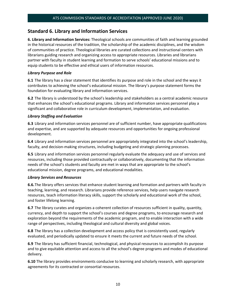# **Standard 6. Library and Information Services**

**6. Library and Information Services:** Theological schools are communities of faith and learning grounded in the historical resources of the tradition, the scholarship of the academic disciplines, and the wisdom of communities of practice. Theological libraries are curated collections and instructional centers with librarians guiding research and organizing access to appropriate resources. Libraries and librarians partner with faculty in student learning and formation to serve schools' educational missions and to equip students to be effective and ethical users of information resources.

#### *Library Purpose and Role*

**6.1** The library has a clear statement that identifies its purpose and role in the school and the ways it contributes to achieving the school's educational mission. The library's purpose statement forms the foundation for evaluating library and information services.

**6.2** The library is understood by the school's leadership and stakeholders as a central academic resource that enhances the school's educational programs. Library and information services personnel play a significant and collaborative role in curriculum development, implementation, and evaluation.

#### *Library Staffing and Evaluation*

**6.3** Library and information services personnel are of sufficient number, have appropriate qualifications and expertise, and are supported by adequate resources and opportunities for ongoing professional development.

**6.4** Library and information services personnel are appropriately integrated into the school's leadership, faculty, and decision-making structures, including budgeting and strategic planning processes.

**6.5** Library and information services personnel regularly evaluate the adequacy and use of services and resources, including those provided contractually or collaboratively, documenting that the information needs of the school's students and faculty are met in ways that are appropriate to the school's educational mission, degree programs, and educational modalities.

#### *Library Services and Resources*

**6.6.**The library offers services that enhance student learning and formation and partners with faculty in teaching, learning, and research. Librarians provide reference services, help users navigate research resources, teach information literacy skills, support the scholarly and educational work of the school, and foster lifelong learning.

**6.7** The library curates and organizes a coherent collection of resources sufficient in quality, quantity, currency, and depth to support the school's courses and degree programs, to encourage research and exploration beyond the requirements of the academic program, and to enable interaction with a wide range of perspectives, including theological and cultural diversity and global voices.

**6.8** The library has a collection development and access policy that is consistently used, regularly evaluated, and periodically updated to ensure it meets the current and future needs of the school.

**6.9** The library has sufficient financial, technological, and physical resources to accomplish its purpose and to give equitable attention and access to all the school's degree programs and modes of educational delivery.

**6.10** The library provides environments conducive to learning and scholarly research, with appropriate agreements for its contracted or consortial resources.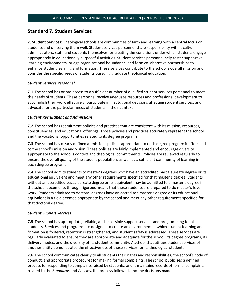# **Standard 7. Student Services**

**7. Student Services:** Theological schools are communities of faith and learning with a central focus on students and on serving them well. Student services personnel share responsibility with faculty, administrators, staff, and students themselves for creating the conditions under which students engage appropriately in educationally purposeful activities. Student services personnel help foster supportive learning environments, bridge organizational boundaries, and form collaborative partnerships to enhance student learning and formation. These services contribute to the school's overall mission and consider the specific needs of students pursuing graduate theological education.

#### *Student Services Personnel*

**7.1** The school has or has access to a sufficient number of qualified student services personnel to meet the needs of students. These personnel receive adequate resources and professional development to accomplish their work effectively, participate in institutional decisions affecting student services, and advocate for the particular needs of students in their context.

#### *Student Recruitment and Admissions*

**7.2** The school has recruitment policies and practices that are consistent with its mission, resources, constituencies, and educational offerings. Those policies and practices accurately represent the school and the vocational opportunities related to its degree programs.

**7.3** The school has clearly defined admissions policies appropriate to each degree program it offers and to the school's mission and vision. These policies are fairly implemented and encourage diversity appropriate to the school's context and theological commitments. Policies are reviewed regularly to ensure the overall quality of the student population, as well as a sufficient community of learning in each degree program.

**7.4** The school admits students to master's degrees who have an accredited baccalaureate degree or its educational equivalent and meet any other requirements specified for that master's degree. Students without an accredited baccalaureate degree or its equivalent may be admitted to a master's degree if the school documents through rigorous means that those students are prepared to do master's-level work. Students admitted to doctoral degrees have an accredited master's degree or its educational equivalent in a field deemed appropriate by the school and meet any other requirements specified for that doctoral degree.

#### *Student Support Services*

**7.5** The school has appropriate, reliable, and accessible support services and programming for all students. Services and programs are designed to create an environment in which student learning and formation is fostered, retention is strengthened, and student safety is addressed. These services are regularly evaluated to ensure they are appropriate and adequate for the school, its degree programs, its delivery modes, and the diversity of its student community. A school that utilizes student services of another entity demonstrates the effectiveness of those services for its theological students.

**7.6** The school communicates clearly to all students their rights and responsibilities, the school's code of conduct, and appropriate procedures for making formal complaints. The school publicizes a defined process for responding to complaints raised by students, and it maintains records of formal complaints related to the *Standards* and *Policies*, the process followed, and the decisions made.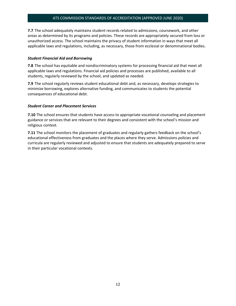**7.7** The school adequately maintains student records related to admissions, coursework, and other areas as determined by its programs and policies. These records are appropriately secured from loss or unauthorized access. The school maintains the privacy of student information in ways that meet all applicable laws and regulations, including, as necessary, those from ecclesial or denominational bodies.

#### *Student Financial Aid and Borrowing*

**7.8** The school has equitable and nondiscriminatory systems for processing financial aid that meet all applicable laws and regulations. Financial aid policies and processes are published, available to all students, regularly reviewed by the school, and updated as needed.

**7.9** The school regularly reviews student educational debt and, as necessary, develops strategies to minimize borrowing, explores alternative funding, and communicates to students the potential consequences of educational debt.

#### *Student Career and Placement Services*

**7.10** The school ensures that students have access to appropriate vocational counseling and placement guidance or services that are relevant to their degrees and consistent with the school's mission and religious context.

**7.11** The school monitors the placement of graduates and regularly gathers feedback on the school's educational effectiveness from graduates and the places where they serve. Admissions policies and curricula are regularly reviewed and adjusted to ensure that students are adequately prepared to serve in their particular vocational contexts.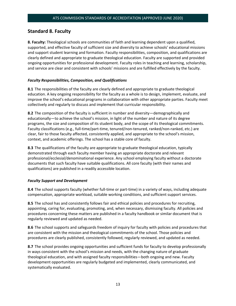# **Standard 8. Faculty**

**8. Faculty:** Theological schools are communities of faith and learning dependent upon a qualified, supported, and effective faculty of sufficient size and diversity to achieve schools' educational missions and support student learning and formation. Faculty responsibilities, composition, and qualifications are clearly defined and appropriate to graduate theological education. Faculty are supported and provided ongoing opportunities for professional development. Faculty roles in teaching and learning, scholarship, and service are clear and consistent with schools' missions and are fulfilled effectively by the faculty.

#### *Faculty Responsibilities, Composition, and Qualifications*

**8.1** The responsibilities of the faculty are clearly defined and appropriate to graduate theological education. A key ongoing responsibility for the faculty as a whole is to design, implement, evaluate, and improve the school's educational programs in collaboration with other appropriate parties. Faculty meet collectively and regularly to discuss and implement that curricular responsibility.

**8.2** The composition of the faculty is sufficient in number and diversity—demographically and educationally—to achieve the school's mission, in light of the number and nature of its degree programs, the size and composition of its student body, and the scope of its theological commitments. Faculty classifications (e.g., full-time/part-time, tenured/non-tenured, ranked/non-ranked, etc.) are clear, fair to those faculty affected, consistently applied, and appropriate to the school's mission, context, and academic offerings. The school has a stable core of faculty.

**8.3** The qualifications of the faculty are appropriate to graduate theological education, typically demonstrated through each faculty member having an appropriate doctorate and relevant professional/ecclesial/denominational experience. Any school employing faculty without a doctorate documents that such faculty have suitable qualifications. All core faculty (with their names and qualifications) are published in a readily accessible location.

#### *Faculty Support and Development*

**8.4** The school supports faculty (whether full-time or part-time) in a variety of ways, including adequate compensation, appropriate workload, suitable working conditions, and sufficient support services.

**8.5** The school has and consistently follows fair and ethical policies and procedures for recruiting, appointing, caring for, evaluating, promoting, and, when necessary, dismissing faculty. All policies and procedures concerning these matters are published in a faculty handbook or similar document that is regularly reviewed and updated as needed.

**8.6** The school supports and safeguards freedom of inquiry for faculty with policies and procedures that are consistent with the mission and theological commitments of the school. Those policies and procedures are clearly published, consistently followed, regularly reviewed, and updated as needed.

**8.7** The school provides ongoing opportunities and sufficient funds for faculty to develop professionally in ways consistent with the school's mission and needs, with the changing nature of graduate theological education, and with assigned faculty responsibilities—both ongoing and new. Faculty development opportunities are regularly budgeted and implemented, clearly communicated, and systematically evaluated.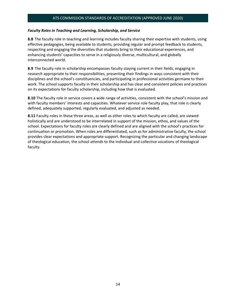#### *Faculty Roles in Teaching and Learning, Scholarship, and Service*

**8.8** The faculty role in teaching and learning includes faculty sharing their expertise with students, using effective pedagogies, being available to students, providing regular and prompt feedback to students, respecting and engaging the diversities that students bring to their educational experiences, and enhancing students' capacities to serve in a religiously diverse, multicultural, and globally interconnected world.

**8.9** The faculty role in scholarship encompasses faculty staying current in their fields, engaging in research appropriate to their responsibilities, presenting their findings in ways consistent with their disciplines and the school's constituencies, and participating in professional activities germane to their work. The school supports faculty in their scholarship and has clear and consistent policies and practices on its expectations for faculty scholarship, including how that is evaluated.

**8.10** The faculty role in service covers a wide range of activities, consistent with the school's mission and with faculty members' interests and capacities. Whatever service role faculty play, that role is clearly defined, adequately supported, regularly evaluated, and adjusted as needed.

**8.11** Faculty roles in these three areas, as well as other roles to which faculty are called, are viewed holistically and are understood to be interrelated in support of the mission, ethos, and values of the school. Expectations for faculty roles are clearly defined and are aligned with the school's practices for continuation or promotion. When roles are differentiated, such as for administrative faculty, the school provides clear expectations and appropriate support. Recognizing the particular and changing landscape of theological education, the school attends to the individual and collective vocations of theological faculty.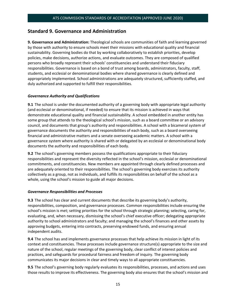# **Standard 9. Governance and Administration**

**9. Governance and Administration:** Theological schools are communities of faith and learning governed by those with authority to ensure schools meet their missions with educational quality and financial sustainability. Governing bodies do that by working collaboratively to establish priorities, develop policies, make decisions, authorize actions, and evaluate outcomes. They are composed of qualified persons who broadly represent their schools' constituencies and understand their fiduciary responsibilities. Governance is based on a bond of trust among boards, administrators, faculty, staff, students, and ecclesial or denominational bodies where shared governance is clearly defined and appropriately implemented. School administrations are adequately structured, sufficiently staffed, and duly authorized and supported to fulfill their responsibilities.

#### *Governance Authority and Qualifications*

**9.1** The school is under the documented authority of a governing body with appropriate legal authority (and ecclesial or denominational, if needed) to ensure that its mission is achieved in ways that demonstrate educational quality and financial sustainability. A school embedded in another entity has some group that attends to the theological school's mission, such as a board committee or an advisory council, and documents that group's authority and responsibilities. A school with a bicameral system of governance documents the authority and responsibilities of each body, such as a board overseeing financial and administrative matters and a senate overseeing academic matters. A school with a governance system where authority is shared with or delegated by an ecclesial or denominational body documents the authority and responsibilities of each body.

**9.2** The school's governing members possess the qualifications appropriate to their fiduciary responsibilities and represent the diversity reflected in the school's mission, ecclesial or denominational commitments, and constituencies. New members are appointed through clearly defined processes and are adequately oriented to their responsibilities. The school's governing body exercises its authority collectively as a group, not as individuals, and fulfills its responsibilities on behalf of the school as a whole, using the school's mission to guide all major decisions.

#### *Governance Responsibilities and Processes*

**9.3** The school has clear and current documents that describe its governing body's authority, responsibilities, composition, and governance processes. Common responsibilities include ensuring the school's mission is met; setting priorities for the school through strategic planning; selecting, caring for, evaluating, and, when necessary, dismissing the school's chief executive officer; delegating appropriate authority to school administrators and faculty; and managing the school's finances and other assets by approving budgets, entering into contracts, preserving endowed funds, and ensuring annual independent audits.

**9.4** The school has and implements governance processes that help achieve its mission in light of its context and constituencies. These processes include governance structure(s) appropriate to the size and nature of the school, regular meetings of the governing body, clear conflict of interest policies and practices, and safeguards for procedural fairness and freedom of inquiry. The governing body communicates its major decisions in clear and timely ways to all appropriate constituencies.

**9.5** The school's governing body regularly evaluates its responsibilities, processes, and actions and uses those results to improve its effectiveness. The governing body also ensures that the school's mission and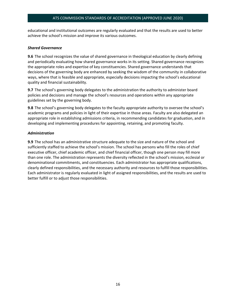educational and institutional outcomes are regularly evaluated and that the results are used to better achieve the school's mission and improve its various outcomes.

#### *Shared Governance*

**9.6** The school recognizes the value of shared governance in theological education by clearly defining and periodically evaluating how shared governance works in its setting. Shared governance recognizes the appropriate roles and expertise of key constituencies. Shared governance understands that decisions of the governing body are enhanced by seeking the wisdom of the community in collaborative ways, where that is feasible and appropriate, especially decisions impacting the school's educational quality and financial sustainability.

**9.7** The school's governing body delegates to the administration the authority to administer board policies and decisions and manage the school's resources and operations within any appropriate guidelines set by the governing body.

**9.8** The school's governing body delegates to the faculty appropriate authority to oversee the school's academic programs and policies in light of their expertise in those areas. Faculty are also delegated an appropriate role in establishing admissions criteria, in recommending candidates for graduation, and in developing and implementing procedures for appointing, retaining, and promoting faculty.

#### *Administration*

**9.9** The school has an administrative structure adequate to the size and nature of the school and sufficiently staffed to achieve the school's mission. The school has persons who fill the roles of chief executive officer, chief academic officer, and chief financial officer, though one person may fill more than one role. The administration represents the diversity reflected in the school's mission, ecclesial or denominational commitments, and constituencies. Each administrator has appropriate qualifications, clearly defined responsibilities, and the necessary authority and resources to fulfill those responsibilities. Each administrator is regularly evaluated in light of assigned responsibilities, and the results are used to better fulfill or to adjust those responsibilities.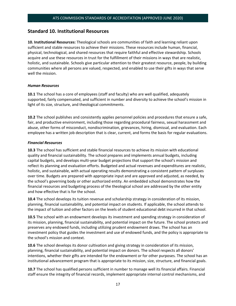## **Standard 10. Institutional Resources**

**10. Institutional Resources:** Theological schools are communities of faith and learning reliant upon sufficient and stable resources to achieve their missions. These resources include human, financial, physical, technological, and shared resources that require faithful and effective stewardship. Schools acquire and use these resources in trust for the fulfillment of their missions in ways that are realistic, holistic, and sustainable. Schools give particular attention to their greatest resource, people, by building communities where all persons are valued, respected, and enabled to use their gifts in ways that serve well the mission.

#### *Human Resources*

**10.1** The school has a core of employees (staff and faculty) who are well qualified, adequately supported, fairly compensated, and sufficient in number and diversity to achieve the school's mission in light of its size, structure, and theological commitments.

**10.2** The school publishes and consistently applies personnel policies and procedures that ensure a safe, fair, and productive environment, including those regarding procedural fairness, sexual harassment and abuse, other forms of misconduct, nondiscrimination, grievances, hiring, dismissal, and evaluation. Each employee has a written job description that is clear, current, and forms the basis for regular evaluations.

#### *Financial Resources*

**10.3** The school has sufficient and stable financial resources to achieve its mission with educational quality and financial sustainability. The school prepares and implements annual budgets, including capital budgets, and develops multi-year budget projections that support the school's mission and reflect its planning and evaluation efforts. Budgeted and actual revenues and expenditures are realistic, holistic, and sustainable, with actual operating results demonstrating a consistent pattern of surpluses over time. Budgets are prepared with appropriate input and are approved and adjusted, as needed, by the school's governing body or other authorized entity. An embedded school demonstrates how the financial resources and budgeting process of the theological school are addressed by the other entity and how effective that is for the school.

**10.4** The school develops its tuition revenue and scholarship strategy in consideration of its mission, planning, financial sustainability, and potential impact on students. If applicable, the school attends to the impact of tuition and other factors on the levels of student educational debt incurred in that school.

**10.5** The school with an endowment develops its investment and spending strategy in consideration of its mission, planning, financial sustainability, and potential impact on the future. The school protects and preserves any endowed funds, including utilizing prudent endowment draws. The school has an investment policy that guides the investment and use of endowed funds, and the policy is appropriate to the school's mission and context.

**10.6** The school develops its donor cultivation and giving strategy in consideration of its mission, planning, financial sustainability, and potential impact on donors. The school respects all donors' intentions, whether their gifts are intended for the endowment or for other purposes. The school has an institutional advancement program that is appropriate to its mission, size, structure, and financial goals.

**10.7** The school has qualified persons sufficient in number to manage well its financial affairs. Financial staff ensure the integrity of financial records, implement appropriate internal control mechanisms, and